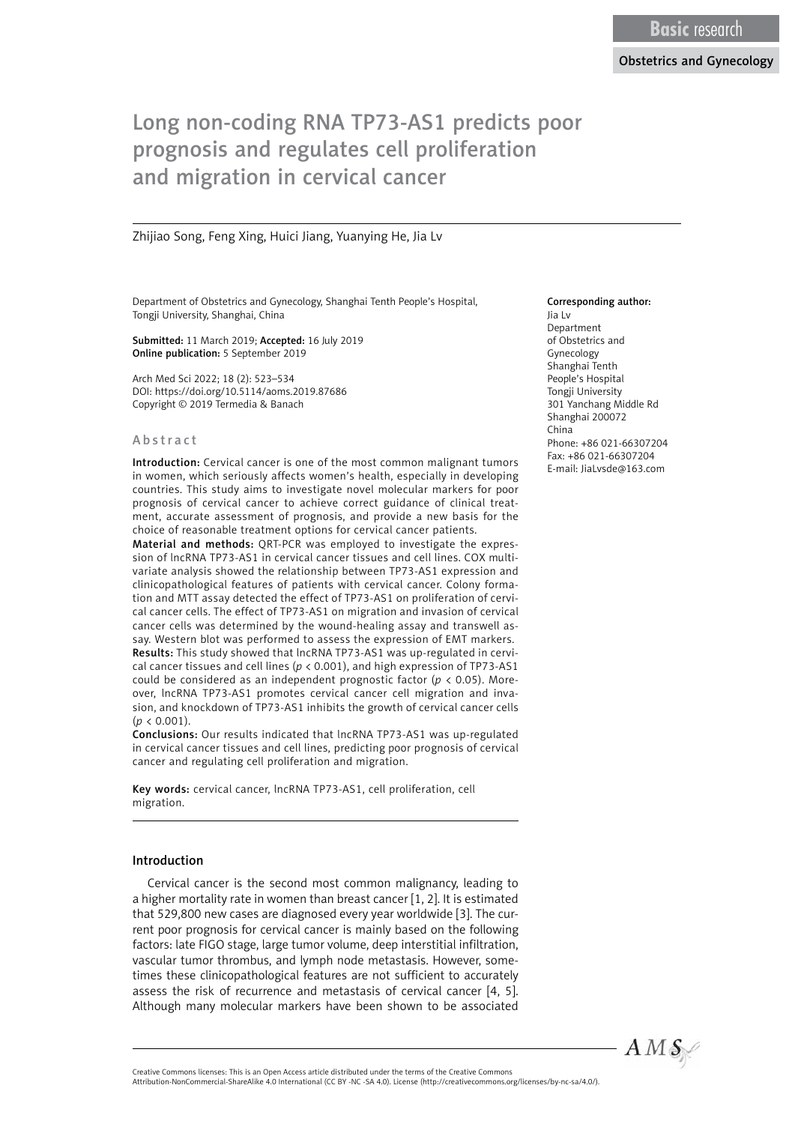# Long non-coding RNA TP73-AS1 predicts poor prognosis and regulates cell proliferation and migration in cervical cancer

Zhijiao Song, Feng Xing, Huici Jiang, Yuanying He, Jia Lv

Department of Obstetrics and Gynecology, Shanghai Tenth People's Hospital, Tongji University, Shanghai, China

Submitted: 11 March 2019; Accepted: 16 July 2019 Online publication: 5 September 2019

Arch Med Sci 2022; 18 (2): 523–534 DOI: https://doi.org/10.5114/aoms.2019.87686 Copyright © 2019 Termedia & Banach

#### Abstract

Introduction: Cervical cancer is one of the most common malignant tumors in women, which seriously affects women's health, especially in developing countries. This study aims to investigate novel molecular markers for poor prognosis of cervical cancer to achieve correct guidance of clinical treatment, accurate assessment of prognosis, and provide a new basis for the choice of reasonable treatment options for cervical cancer patients.

Material and methods: QRT-PCR was employed to investigate the expression of lncRNA TP73-AS1 in cervical cancer tissues and cell lines. COX multivariate analysis showed the relationship between TP73-AS1 expression and clinicopathological features of patients with cervical cancer. Colony formation and MTT assay detected the effect of TP73-AS1 on proliferation of cervical cancer cells. The effect of TP73-AS1 on migration and invasion of cervical cancer cells was determined by the wound-healing assay and transwell assay. Western blot was performed to assess the expression of EMT markers. Results: This study showed that lncRNA TP73-AS1 was up-regulated in cervical cancer tissues and cell lines (*p* < 0.001), and high expression of TP73-AS1 could be considered as an independent prognostic factor (*p* < 0.05). Moreover, lncRNA TP73-AS1 promotes cervical cancer cell migration and invasion, and knockdown of TP73-AS1 inhibits the growth of cervical cancer cells  $(p < 0.001)$ .

Conclusions: Our results indicated that lncRNA TP73-AS1 was up-regulated in cervical cancer tissues and cell lines, predicting poor prognosis of cervical cancer and regulating cell proliferation and migration.

Key words: cervical cancer, lncRNA TP73-AS1, cell proliferation, cell migration.

#### Introduction

Cervical cancer is the second most common malignancy, leading to a higher mortality rate in women than breast cancer [1, 2]. It is estimated that 529,800 new cases are diagnosed every year worldwide [3]. The current poor prognosis for cervical cancer is mainly based on the following factors: late FIGO stage, large tumor volume, deep interstitial infiltration, vascular tumor thrombus, and lymph node metastasis. However, sometimes these clinicopathological features are not sufficient to accurately assess the risk of recurrence and metastasis of cervical cancer [4, 5]. Although many molecular markers have been shown to be associated

#### Corresponding author:

Jia Lv Department of Obstetrics and Gynecology Shanghai Tenth People's Hospital Tongji University 301 Yanchang Middle Rd Shanghai 200072 China Phone: +86 021-66307204 Fax: +86 021-66307204 E-mail: JiaLvsde@163.com



Attribution-NonCommercial-ShareAlike 4.0 International (CC BY -NC -SA 4.0). License (http://creativecommons.org/licenses/by-nc-sa/4.0/).

Creative Commons licenses: This is an Open Access article distributed under the terms of the Creative Commons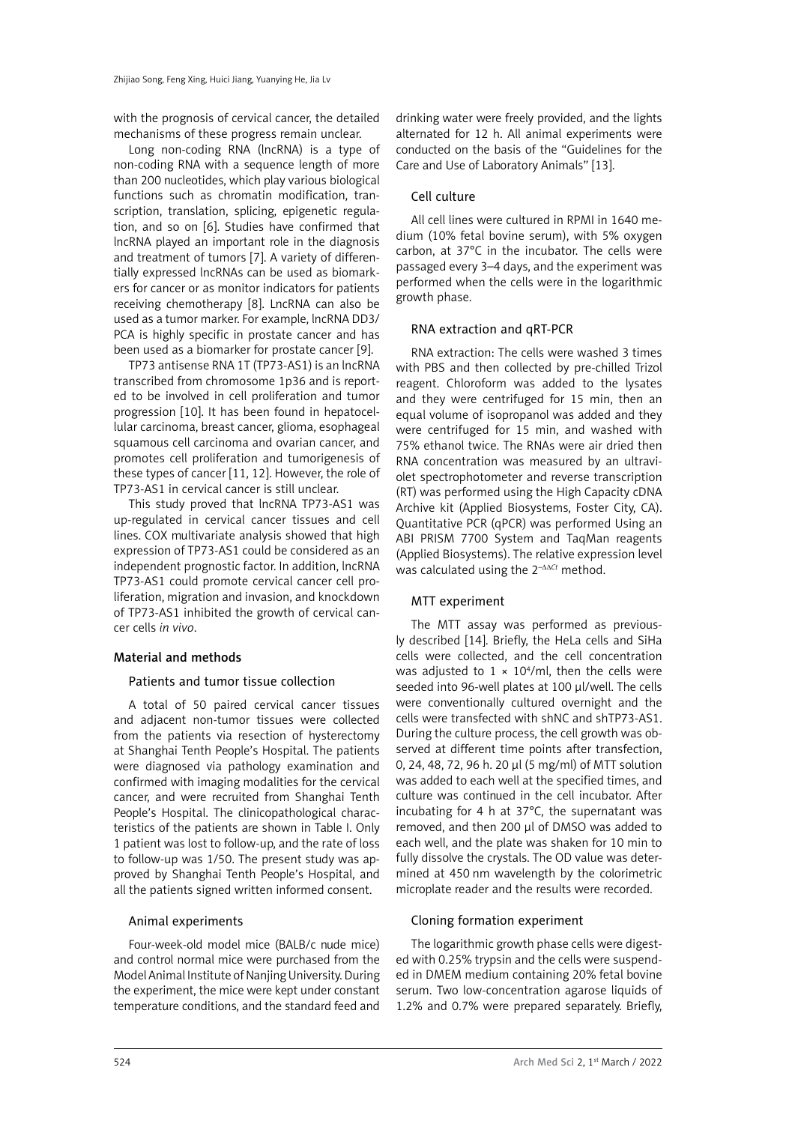with the prognosis of cervical cancer, the detailed mechanisms of these progress remain unclear.

Long non-coding RNA (lncRNA) is a type of non-coding RNA with a sequence length of more than 200 nucleotides, which play various biological functions such as chromatin modification, transcription, translation, splicing, epigenetic regulation, and so on [6]. Studies have confirmed that lncRNA played an important role in the diagnosis and treatment of tumors [7]. A variety of differentially expressed lncRNAs can be used as biomarkers for cancer or as monitor indicators for patients receiving chemotherapy [8]. LncRNA can also be used as a tumor marker. For example, lncRNA DD3/ PCA is highly specific in prostate cancer and has been used as a biomarker for prostate cancer [9].

TP73 antisense RNA 1T (TP73-AS1) is an lncRNA transcribed from chromosome 1p36 and is reported to be involved in cell proliferation and tumor progression [10]. It has been found in hepatocellular carcinoma, breast cancer, glioma, esophageal squamous cell carcinoma and ovarian cancer, and promotes cell proliferation and tumorigenesis of these types of cancer [11, 12]. However, the role of TP73-AS1 in cervical cancer is still unclear.

This study proved that lncRNA TP73-AS1 was up-regulated in cervical cancer tissues and cell lines. COX multivariate analysis showed that high expression of TP73-AS1 could be considered as an independent prognostic factor. In addition, lncRNA TP73-AS1 could promote cervical cancer cell proliferation, migration and invasion, and knockdown of TP73-AS1 inhibited the growth of cervical cancer cells *in vivo*.

### Material and methods

### Patients and tumor tissue collection

A total of 50 paired cervical cancer tissues and adjacent non-tumor tissues were collected from the patients via resection of hysterectomy at Shanghai Tenth People's Hospital. The patients were diagnosed via pathology examination and confirmed with imaging modalities for the cervical cancer, and were recruited from Shanghai Tenth People's Hospital. The clinicopathological characteristics of the patients are shown in Table I. Only 1 patient was lost to follow-up, and the rate of loss to follow-up was 1/50. The present study was approved by Shanghai Tenth People's Hospital, and all the patients signed written informed consent.

# Animal experiments

Four-week-old model mice (BALB/c nude mice) and control normal mice were purchased from the Model Animal Institute of Nanjing University. During the experiment, the mice were kept under constant temperature conditions, and the standard feed and

drinking water were freely provided, and the lights alternated for 12 h. All animal experiments were conducted on the basis of the "Guidelines for the Care and Use of Laboratory Animals" [13].

# Cell culture

All cell lines were cultured in RPMI in 1640 medium (10% fetal bovine serum), with 5% oxygen carbon, at 37°C in the incubator. The cells were passaged every 3–4 days, and the experiment was performed when the cells were in the logarithmic growth phase.

# RNA extraction and qRT-PCR

RNA extraction: The cells were washed 3 times with PBS and then collected by pre-chilled Trizol reagent. Chloroform was added to the lysates and they were centrifuged for 15 min, then an equal volume of isopropanol was added and they were centrifuged for 15 min, and washed with 75% ethanol twice. The RNAs were air dried then RNA concentration was measured by an ultraviolet spectrophotometer and reverse transcription (RT) was performed using the High Capacity cDNA Archive kit (Applied Biosystems, Foster City, CA). Quantitative PCR (qPCR) was performed Using an ABI PRISM 7700 System and TaqMan reagents (Applied Biosystems). The relative expression level was calculated using the 2–ΔΔ*Ct* method.

# MTT experiment

The MTT assay was performed as previously described [14]. Briefly, the HeLa cells and SiHa cells were collected, and the cell concentration was adjusted to  $1 \times 10^4$ /ml, then the cells were seeded into 96-well plates at 100 µl/well. The cells were conventionally cultured overnight and the cells were transfected with shNC and shTP73-AS1. During the culture process, the cell growth was observed at different time points after transfection, 0, 24, 48, 72, 96 h. 20 µl (5 mg/ml) of MTT solution was added to each well at the specified times, and culture was continued in the cell incubator. After incubating for 4 h at 37°C, the supernatant was removed, and then 200 µl of DMSO was added to each well, and the plate was shaken for 10 min to fully dissolve the crystals. The OD value was determined at 450 nm wavelength by the colorimetric microplate reader and the results were recorded.

# Cloning formation experiment

The logarithmic growth phase cells were digested with 0.25% trypsin and the cells were suspended in DMEM medium containing 20% fetal bovine serum. Two low-concentration agarose liquids of 1.2% and 0.7% were prepared separately. Briefly,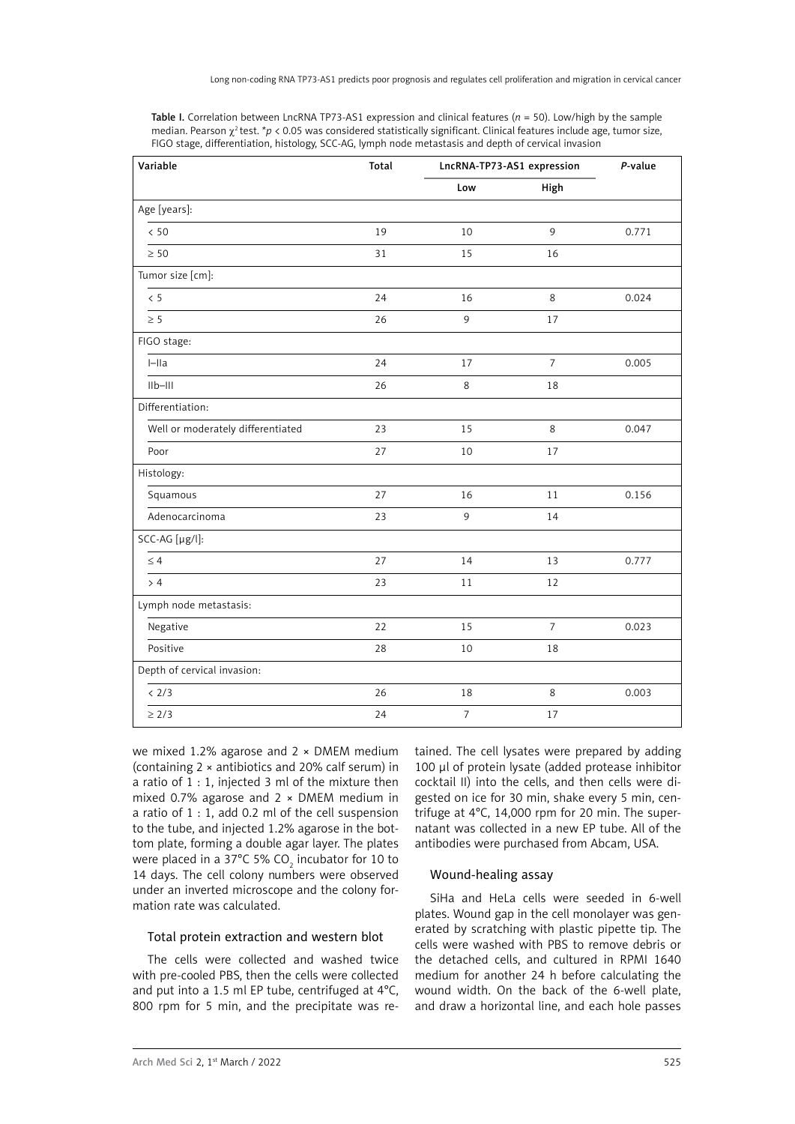| Variable                          | Total | LncRNA-TP73-AS1 expression |                | P-value |
|-----------------------------------|-------|----------------------------|----------------|---------|
|                                   |       | Low                        | High           |         |
| Age [years]:                      |       |                            |                |         |
| < 50                              | 19    | 10                         | 9              | 0.771   |
| $\geq 50$                         | 31    | 15                         | 16             |         |
| Tumor size [cm]:                  |       |                            |                |         |
| $\leq 5$                          | 24    | 16                         | 8              | 0.024   |
| $\geq 5$                          | 26    | 9                          | 17             |         |
| FIGO stage:                       |       |                            |                |         |
| $I$ -IIa                          | 24    | 17                         | $\overline{7}$ | 0.005   |
| $IIb-III$                         | 26    | 8                          | 18             |         |
| Differentiation:                  |       |                            |                |         |
| Well or moderately differentiated | 23    | 15                         | $\,8\,$        | 0.047   |
| Poor                              | 27    | 10                         | 17             |         |
| Histology:                        |       |                            |                |         |
| Squamous                          | 27    | 16                         | 11             | 0.156   |
| Adenocarcinoma                    | 23    | 9                          | 14             |         |
| SCC-AG [µg/l]:                    |       |                            |                |         |
| < 4                               | 27    | 14                         | 13             | 0.777   |
| > 4                               | 23    | 11                         | 12             |         |
| Lymph node metastasis:            |       |                            |                |         |
| Negative                          | 22    | 15                         | $\overline{7}$ | 0.023   |
| Positive                          | 28    | 10                         | 18             |         |
| Depth of cervical invasion:       |       |                            |                |         |
| < 2/3                             | 26    | 18                         | 8              | 0.003   |
| $\geq 2/3$                        | 24    | $\overline{7}$             | 17             |         |

Table I. Correlation between LncRNA TP73-AS1 expression and clinical features (*n* = 50). Low/high by the sample median. Pearson χ<sup>2</sup> test. \**p* < 0.05 was considered statistically significant. Clinical features include age, tumor size, FIGO stage, differentiation, histology, SCC-AG, lymph node metastasis and depth of cervical invasion

we mixed 1.2% agarose and  $2 \times DMEM$  medium (containing 2 × antibiotics and 20% calf serum) in a ratio of 1 : 1, injected 3 ml of the mixture then mixed 0.7% agarose and  $2 \times$  DMEM medium in a ratio of 1 : 1, add 0.2 ml of the cell suspension to the tube, and injected 1.2% agarose in the bottom plate, forming a double agar layer. The plates were placed in a 37°C 5% CO $_{\rm 2}$  incubator for 10 to 14 days. The cell colony numbers were observed under an inverted microscope and the colony formation rate was calculated.

### Total protein extraction and western blot

The cells were collected and washed twice with pre-cooled PBS, then the cells were collected and put into a 1.5 ml EP tube, centrifuged at 4°C, 800 rpm for 5 min, and the precipitate was retained. The cell lysates were prepared by adding 100 µl of protein lysate (added protease inhibitor cocktail II) into the cells, and then cells were digested on ice for 30 min, shake every 5 min, centrifuge at 4°C, 14,000 rpm for 20 min. The supernatant was collected in a new EP tube. All of the antibodies were purchased from Abcam, USA.

# Wound-healing assay

SiHa and HeLa cells were seeded in 6-well plates. Wound gap in the cell monolayer was generated by scratching with plastic pipette tip. The cells were washed with PBS to remove debris or the detached cells, and cultured in RPMI 1640 medium for another 24 h before calculating the wound width. On the back of the 6-well plate, and draw a horizontal line, and each hole passes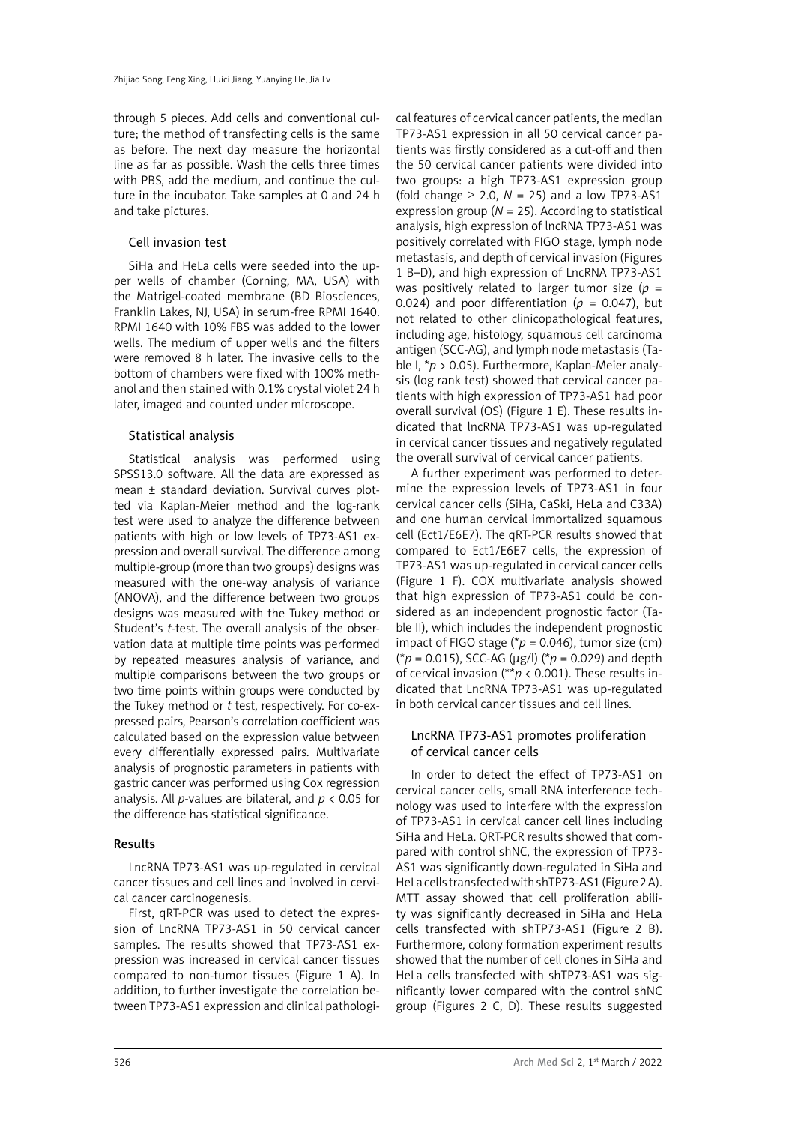through 5 pieces. Add cells and conventional culture; the method of transfecting cells is the same as before. The next day measure the horizontal line as far as possible. Wash the cells three times with PBS, add the medium, and continue the culture in the incubator. Take samples at 0 and 24 h and take pictures.

## Cell invasion test

SiHa and HeLa cells were seeded into the upper wells of chamber (Corning, MA, USA) with the Matrigel-coated membrane (BD Biosciences, Franklin Lakes, NJ, USA) in serum-free RPMI 1640. RPMI 1640 with 10% FBS was added to the lower wells. The medium of upper wells and the filters were removed 8 h later. The invasive cells to the bottom of chambers were fixed with 100% methanol and then stained with 0.1% crystal violet 24 h later, imaged and counted under microscope.

# Statistical analysis

Statistical analysis was performed using SPSS13.0 software. All the data are expressed as mean ± standard deviation. Survival curves plotted via Kaplan-Meier method and the log-rank test were used to analyze the difference between patients with high or low levels of TP73-AS1 expression and overall survival. The difference among multiple-group (more than two groups) designs was measured with the one-way analysis of variance (ANOVA), and the difference between two groups designs was measured with the Tukey method or Student's *t*-test. The overall analysis of the observation data at multiple time points was performed by repeated measures analysis of variance, and multiple comparisons between the two groups or two time points within groups were conducted by the Tukey method or *t* test, respectively. For co-expressed pairs, Pearson's correlation coefficient was calculated based on the expression value between every differentially expressed pairs. Multivariate analysis of prognostic parameters in patients with gastric cancer was performed using Cox regression analysis. All *p*-values are bilateral, and *p* < 0.05 for the difference has statistical significance.

### Results

LncRNA TP73-AS1 was up-regulated in cervical cancer tissues and cell lines and involved in cervical cancer carcinogenesis.

First, qRT-PCR was used to detect the expression of LncRNA TP73-AS1 in 50 cervical cancer samples. The results showed that TP73-AS1 expression was increased in cervical cancer tissues compared to non-tumor tissues (Figure 1 A). In addition, to further investigate the correlation between TP73-AS1 expression and clinical pathologi-

cal features of cervical cancer patients, the median TP73-AS1 expression in all 50 cervical cancer patients was firstly considered as a cut-off and then the 50 cervical cancer patients were divided into two groups: a high TP73-AS1 expression group (fold change  $\geq$  2.0,  $N = 25$ ) and a low TP73-AS1 expression group ( $N = 25$ ). According to statistical analysis, high expression of lncRNA TP73-AS1 was positively correlated with FIGO stage, lymph node metastasis, and depth of cervical invasion (Figures 1 B–D), and high expression of LncRNA TP73-AS1 was positively related to larger tumor size  $(p =$ 0.024) and poor differentiation ( $p = 0.047$ ), but not related to other clinicopathological features, including age, histology, squamous cell carcinoma antigen (SCC-AG), and lymph node metastasis (Table I, \**p* > 0.05). Furthermore, Kaplan-Meier analysis (log rank test) showed that cervical cancer patients with high expression of TP73-AS1 had poor overall survival (OS) (Figure 1 E). These results indicated that lncRNA TP73-AS1 was up-regulated in cervical cancer tissues and negatively regulated the overall survival of cervical cancer patients.

A further experiment was performed to determine the expression levels of TP73-AS1 in four cervical cancer cells (SiHa, CaSki, HeLa and C33A) and one human cervical immortalized squamous cell (Ect1/E6E7). The qRT-PCR results showed that compared to Ect1/E6E7 cells, the expression of TP73-AS1 was up-regulated in cervical cancer cells (Figure 1 F). COX multivariate analysis showed that high expression of TP73-AS1 could be considered as an independent prognostic factor (Table II), which includes the independent prognostic impact of FIGO stage ( $p = 0.046$ ), tumor size (cm) (\**p* = 0.015), SCC-AG (µg/l) (\**p* = 0.029) and depth of cervical invasion (\*\**p* < 0.001). These results indicated that LncRNA TP73-AS1 was up-regulated in both cervical cancer tissues and cell lines.

# LncRNA TP73-AS1 promotes proliferation of cervical cancer cells

In order to detect the effect of TP73-AS1 on cervical cancer cells, small RNA interference technology was used to interfere with the expression of TP73-AS1 in cervical cancer cell lines including SiHa and HeLa. QRT-PCR results showed that compared with control shNC, the expression of TP73- AS1 was significantly down-regulated in SiHa and HeLa cells transfected with shTP73-AS1 (Figure 2 A). MTT assay showed that cell proliferation ability was significantly decreased in SiHa and HeLa cells transfected with shTP73-AS1 (Figure 2 B). Furthermore, colony formation experiment results showed that the number of cell clones in SiHa and HeLa cells transfected with shTP73-AS1 was significantly lower compared with the control shNC group (Figures 2 C, D). These results suggested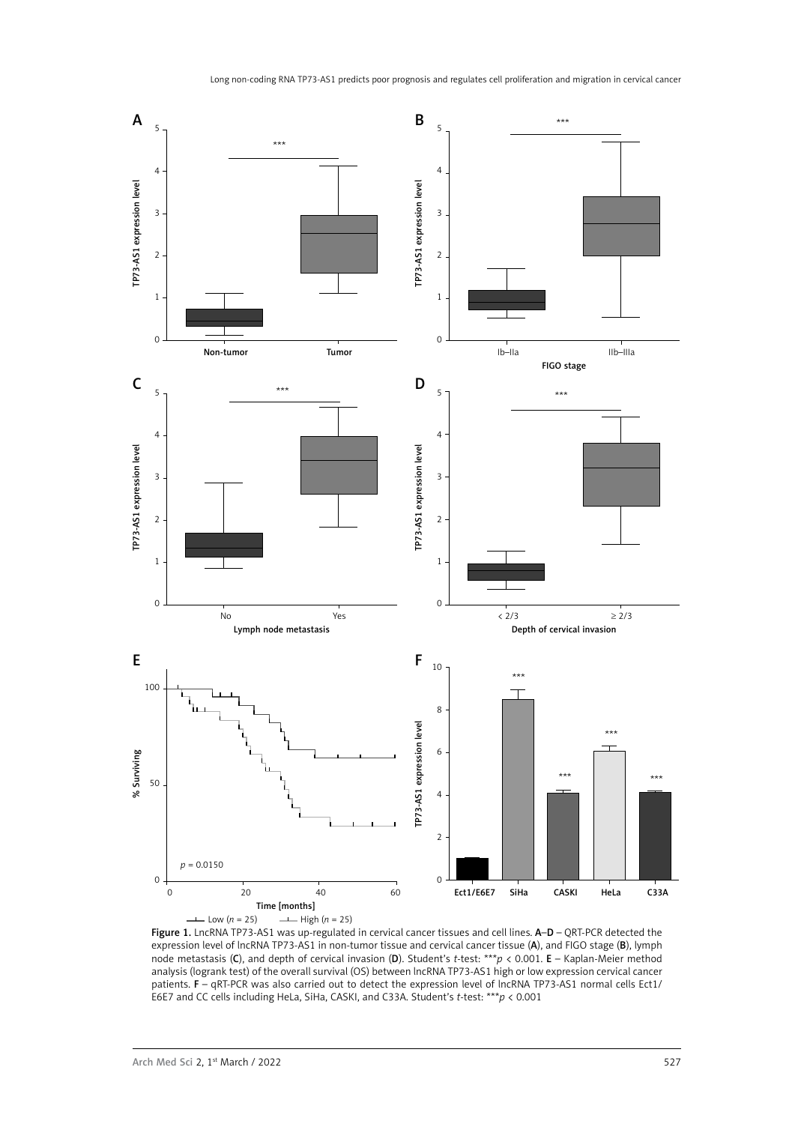

Figure 1. LncRNA TP73-AS1 was up-regulated in cervical cancer tissues and cell lines. A-D - QRT-PCR detected the expression level of lncRNA TP73-AS1 in non-tumor tissue and cervical cancer tissue (A), and FIGO stage (B), lymph node metastasis (C), and depth of cervical invasion (D). Student's *t*-test: \*\*\**p* < 0.001. E – Kaplan-Meier method analysis (logrank test) of the overall survival (OS) between lncRNA TP73-AS1 high or low expression cervical cancer patients. F – qRT-PCR was also carried out to detect the expression level of lncRNA TP73-AS1 normal cells Ect1/ E6E7 and CC cells including HeLa, SiHa, CASKI, and C33A. Student's *t-*test: \*\*\**p* < 0.001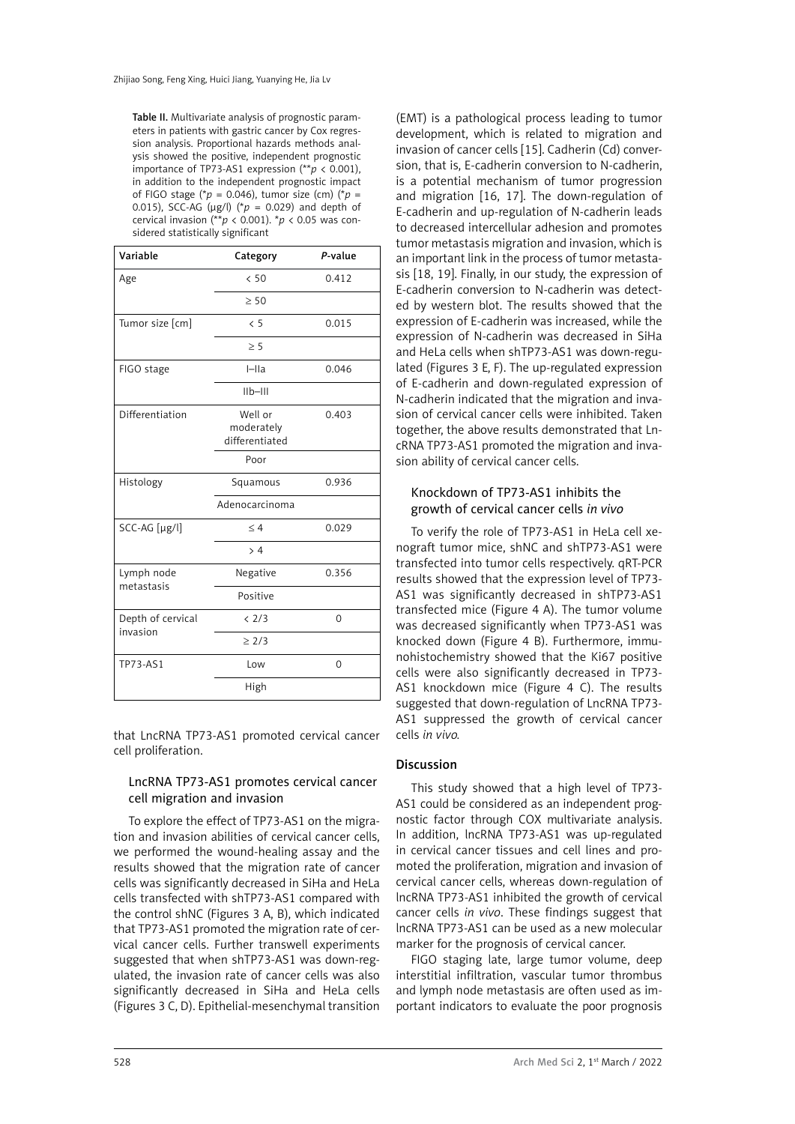Table II. Multivariate analysis of prognostic parameters in patients with gastric cancer by Cox regression analysis. Proportional hazards methods analysis showed the positive, independent prognostic importance of TP73-AS1 expression (\*\**p* < 0.001), in addition to the independent prognostic impact of FIGO stage ( $p = 0.046$ ), tumor size (cm) ( $p =$ 0.015), SCC-AG ( $\mu$ g/l) ( $p = 0.029$ ) and depth of cervical invasion (\*\**p* < 0.001). \**p* < 0.05 was considered statistically significant

| Variable                      | Category                                | P-value |  |
|-------------------------------|-----------------------------------------|---------|--|
| Age                           | < 50                                    | 0.412   |  |
|                               | $\geq 50$                               |         |  |
| Tumor size [cm]               | $\langle 5$                             | 0.015   |  |
|                               | > 5                                     |         |  |
| FIGO stage                    | $I=IIa$                                 | 0.046   |  |
|                               | $IIb-III$                               |         |  |
| Differentiation               | Well or<br>moderately<br>differentiated | 0.403   |  |
|                               | Poor                                    |         |  |
| Histology                     | Squamous                                | 0.936   |  |
|                               | Adenocarcinoma                          |         |  |
| SCC-AG [µg/l]                 | < 4                                     | 0.029   |  |
|                               | > 4                                     |         |  |
| Lymph node<br>metastasis      | Negative                                | 0.356   |  |
|                               | Positive                                |         |  |
| Depth of cervical<br>invasion | < 2/3                                   | 0       |  |
|                               | $\geq$ 2/3                              |         |  |
| TP73-AS1                      | Low                                     | 0       |  |
|                               | High                                    |         |  |

that LncRNA TP73-AS1 promoted cervical cancer cell proliferation.

# LncRNA TP73-AS1 promotes cervical cancer cell migration and invasion

To explore the effect of TP73-AS1 on the migration and invasion abilities of cervical cancer cells, we performed the wound-healing assay and the results showed that the migration rate of cancer cells was significantly decreased in SiHa and HeLa cells transfected with shTP73-AS1 compared with the control shNC (Figures 3 A, B), which indicated that TP73-AS1 promoted the migration rate of cervical cancer cells. Further transwell experiments suggested that when shTP73-AS1 was down-regulated, the invasion rate of cancer cells was also significantly decreased in SiHa and HeLa cells (Figures 3 C, D). Epithelial-mesenchymal transition

(EMT) is a pathological process leading to tumor development, which is related to migration and invasion of cancer cells [15]. Cadherin (Cd) conversion, that is, E-cadherin conversion to N-cadherin, is a potential mechanism of tumor progression and migration [16, 17]. The down-regulation of E-cadherin and up-regulation of N-cadherin leads to decreased intercellular adhesion and promotes tumor metastasis migration and invasion, which is an important link in the process of tumor metastasis [18, 19]. Finally, in our study, the expression of E-cadherin conversion to N-cadherin was detected by western blot. The results showed that the expression of E-cadherin was increased, while the expression of N-cadherin was decreased in SiHa and HeLa cells when shTP73-AS1 was down-regulated (Figures 3 E, F). The up-regulated expression of E-cadherin and down-regulated expression of N-cadherin indicated that the migration and invasion of cervical cancer cells were inhibited. Taken together, the above results demonstrated that LncRNA TP73-AS1 promoted the migration and invasion ability of cervical cancer cells.

# Knockdown of TP73-AS1 inhibits the growth of cervical cancer cells *in vivo*

To verify the role of TP73-AS1 in HeLa cell xenograft tumor mice, shNC and shTP73-AS1 were transfected into tumor cells respectively. qRT-PCR results showed that the expression level of TP73- AS1 was significantly decreased in shTP73-AS1 transfected mice (Figure 4 A). The tumor volume was decreased significantly when TP73-AS1 was knocked down (Figure 4 B). Furthermore, immunohistochemistry showed that the Ki67 positive cells were also significantly decreased in TP73- AS1 knockdown mice (Figure 4 C). The results suggested that down-regulation of LncRNA TP73- AS1 suppressed the growth of cervical cancer cells *in vivo.*

# Discussion

This study showed that a high level of TP73- AS1 could be considered as an independent prognostic factor through COX multivariate analysis. In addition, lncRNA TP73-AS1 was up-regulated in cervical cancer tissues and cell lines and promoted the proliferation, migration and invasion of cervical cancer cells, whereas down-regulation of lncRNA TP73-AS1 inhibited the growth of cervical cancer cells *in vivo*. These findings suggest that lncRNA TP73-AS1 can be used as a new molecular marker for the prognosis of cervical cancer.

FIGO staging late, large tumor volume, deep interstitial infiltration, vascular tumor thrombus and lymph node metastasis are often used as important indicators to evaluate the poor prognosis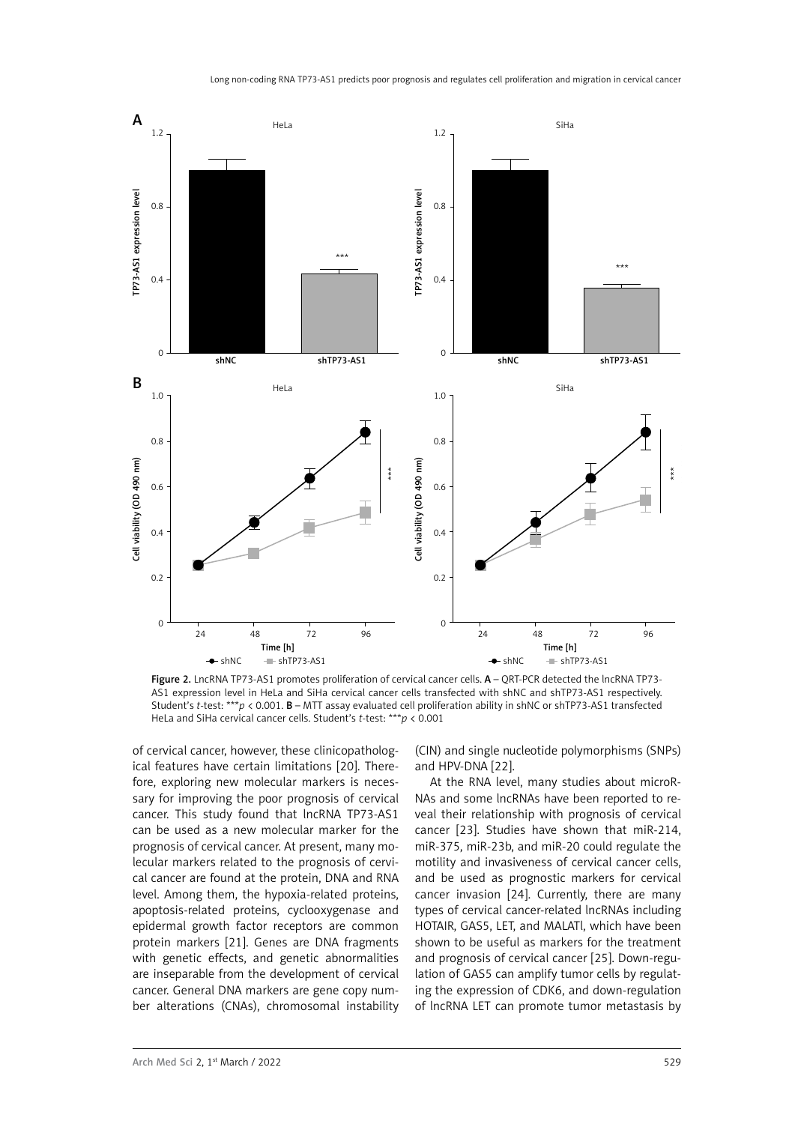

Figure 2. LncRNA TP73-AS1 promotes proliferation of cervical cancer cells. A - QRT-PCR detected the lncRNA TP73-AS1 expression level in HeLa and SiHa cervical cancer cells transfected with shNC and shTP73-AS1 respectively. Student's *t-*test: \*\*\**p* < 0.001. B – MTT assay evaluated cell proliferation ability in shNC or shTP73-AS1 transfected HeLa and SiHa cervical cancer cells. Student's *t-*test: \*\*\**p* < 0.001

of cervical cancer, however, these clinicopathological features have certain limitations [20]. Therefore, exploring new molecular markers is necessary for improving the poor prognosis of cervical cancer. This study found that lncRNA TP73-AS1 can be used as a new molecular marker for the prognosis of cervical cancer. At present, many molecular markers related to the prognosis of cervical cancer are found at the protein, DNA and RNA level. Among them, the hypoxia-related proteins, apoptosis-related proteins, cyclooxygenase and epidermal growth factor receptors are common protein markers [21]. Genes are DNA fragments with genetic effects, and genetic abnormalities are inseparable from the development of cervical cancer. General DNA markers are gene copy number alterations (CNAs), chromosomal instability (CIN) and single nucleotide polymorphisms (SNPs) and HPV-DNA [22].

At the RNA level, many studies about microR-NAs and some lncRNAs have been reported to reveal their relationship with prognosis of cervical cancer [23]. Studies have shown that miR-214, miR-375, miR-23b, and miR-20 could regulate the motility and invasiveness of cervical cancer cells, and be used as prognostic markers for cervical cancer invasion [24]. Currently, there are many types of cervical cancer-related lncRNAs including HOTAIR, GAS5, LET, and MALATl, which have been shown to be useful as markers for the treatment and prognosis of cervical cancer [25]. Down-regulation of GAS5 can amplify tumor cells by regulating the expression of CDK6, and down-regulation of lncRNA LET can promote tumor metastasis by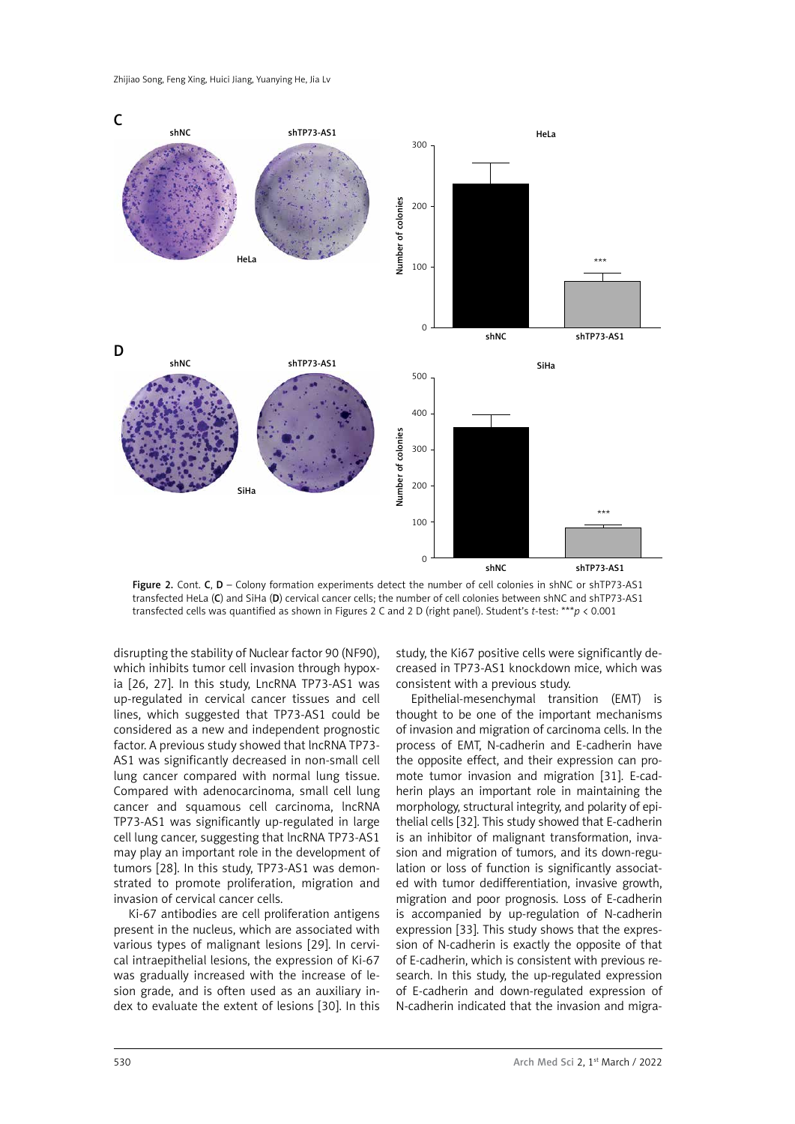

Figure 2. Cont. C, D – Colony formation experiments detect the number of cell colonies in shNC or shTP73-AS1 transfected HeLa (C) and SiHa (D) cervical cancer cells; the number of cell colonies between shNC and shTP73-AS1 transfected cells was quantified as shown in Figures 2 C and 2 D (right panel). Student's *t-*test: \*\*\**p* < 0.001

disrupting the stability of Nuclear factor 90 (NF90), which inhibits tumor cell invasion through hypoxia [26, 27]. In this study, LncRNA TP73-AS1 was up-regulated in cervical cancer tissues and cell lines, which suggested that TP73-AS1 could be considered as a new and independent prognostic factor. A previous study showed that lncRNA TP73- AS1 was significantly decreased in non-small cell lung cancer compared with normal lung tissue. Compared with adenocarcinoma, small cell lung cancer and squamous cell carcinoma, lncRNA TP73-AS1 was significantly up-regulated in large cell lung cancer, suggesting that lncRNA TP73-AS1 may play an important role in the development of tumors [28]. In this study, TP73-AS1 was demonstrated to promote proliferation, migration and invasion of cervical cancer cells.

Ki-67 antibodies are cell proliferation antigens present in the nucleus, which are associated with various types of malignant lesions [29]. In cervical intraepithelial lesions, the expression of Ki-67 was gradually increased with the increase of lesion grade, and is often used as an auxiliary index to evaluate the extent of lesions [30]. In this study, the Ki67 positive cells were significantly decreased in TP73-AS1 knockdown mice, which was consistent with a previous study.

Epithelial-mesenchymal transition (EMT) is thought to be one of the important mechanisms of invasion and migration of carcinoma cells. In the process of EMT, N-cadherin and E-cadherin have the opposite effect, and their expression can promote tumor invasion and migration [31]. E-cadherin plays an important role in maintaining the morphology, structural integrity, and polarity of epithelial cells [32]. This study showed that E-cadherin is an inhibitor of malignant transformation, invasion and migration of tumors, and its down-regulation or loss of function is significantly associated with tumor dedifferentiation, invasive growth, migration and poor prognosis. Loss of E-cadherin is accompanied by up-regulation of N-cadherin expression [33]. This study shows that the expression of N-cadherin is exactly the opposite of that of E-cadherin, which is consistent with previous research. In this study, the up-regulated expression of E-cadherin and down-regulated expression of N-cadherin indicated that the invasion and migra-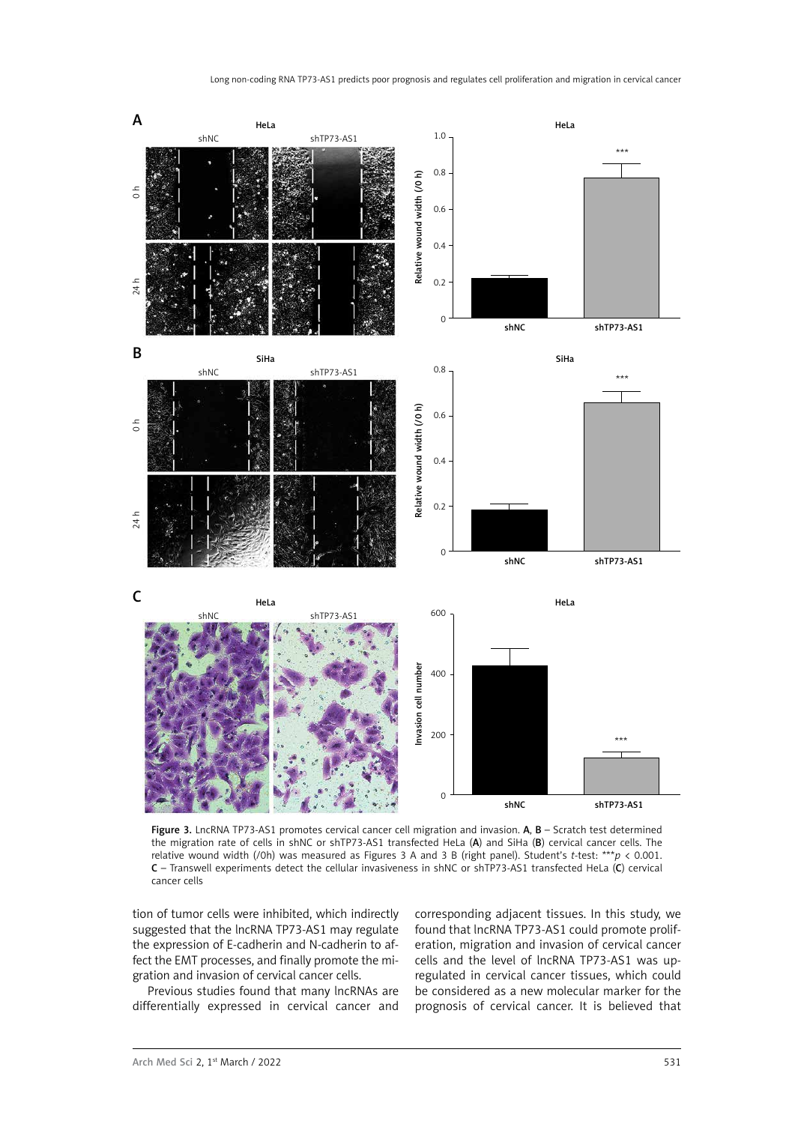

Figure 3. LncRNA TP73-AS1 promotes cervical cancer cell migration and invasion. A, B - Scratch test determined the migration rate of cells in shNC or shTP73-AS1 transfected HeLa (A) and SiHa (B) cervical cancer cells. The relative wound width (/0h) was measured as Figures 3 A and 3 B (right panel). Student's *t-*test: \*\*\**p* < 0.001. C – Transwell experiments detect the cellular invasiveness in shNC or shTP73-AS1 transfected HeLa (C) cervical cancer cells

tion of tumor cells were inhibited, which indirectly suggested that the lncRNA TP73-AS1 may regulate the expression of E-cadherin and N-cadherin to affect the EMT processes, and finally promote the migration and invasion of cervical cancer cells.

Previous studies found that many lncRNAs are differentially expressed in cervical cancer and corresponding adjacent tissues. In this study, we found that lncRNA TP73-AS1 could promote proliferation, migration and invasion of cervical cancer cells and the level of lncRNA TP73-AS1 was upregulated in cervical cancer tissues, which could be considered as a new molecular marker for the prognosis of cervical cancer. It is believed that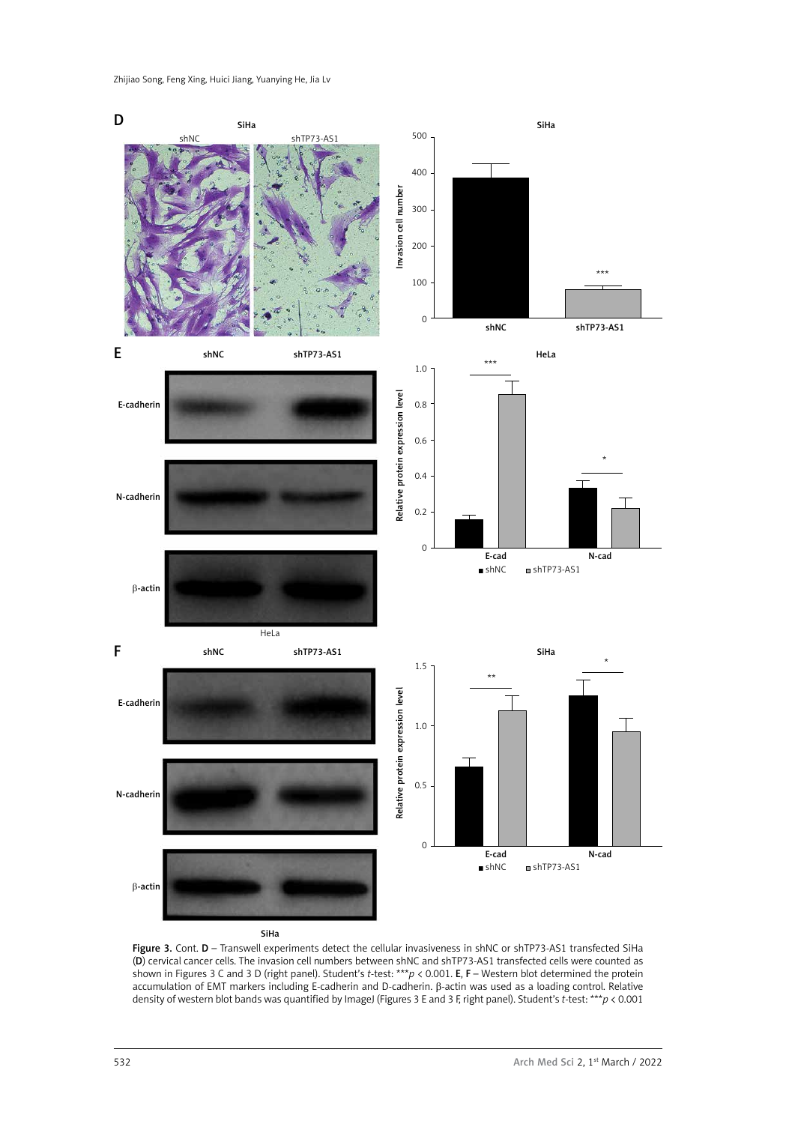

Figure 3. Cont. D – Transwell experiments detect the cellular invasiveness in shNC or shTP73-AS1 transfected SiHa (D) cervical cancer cells. The invasion cell numbers between shNC and shTP73-AS1 transfected cells were counted as shown in Figures 3 C and 3 D (right panel). Student's *t*-test: \*\*\**p* < 0.001. E, F – Western blot determined the protein accumulation of EMT markers including E-cadherin and D-cadherin. β-actin was used as a loading control. Relative density of western blot bands was quantified by ImageJ (Figures 3 E and 3 F, right panel). Student's *t*-test: \*\*\**p* < 0.001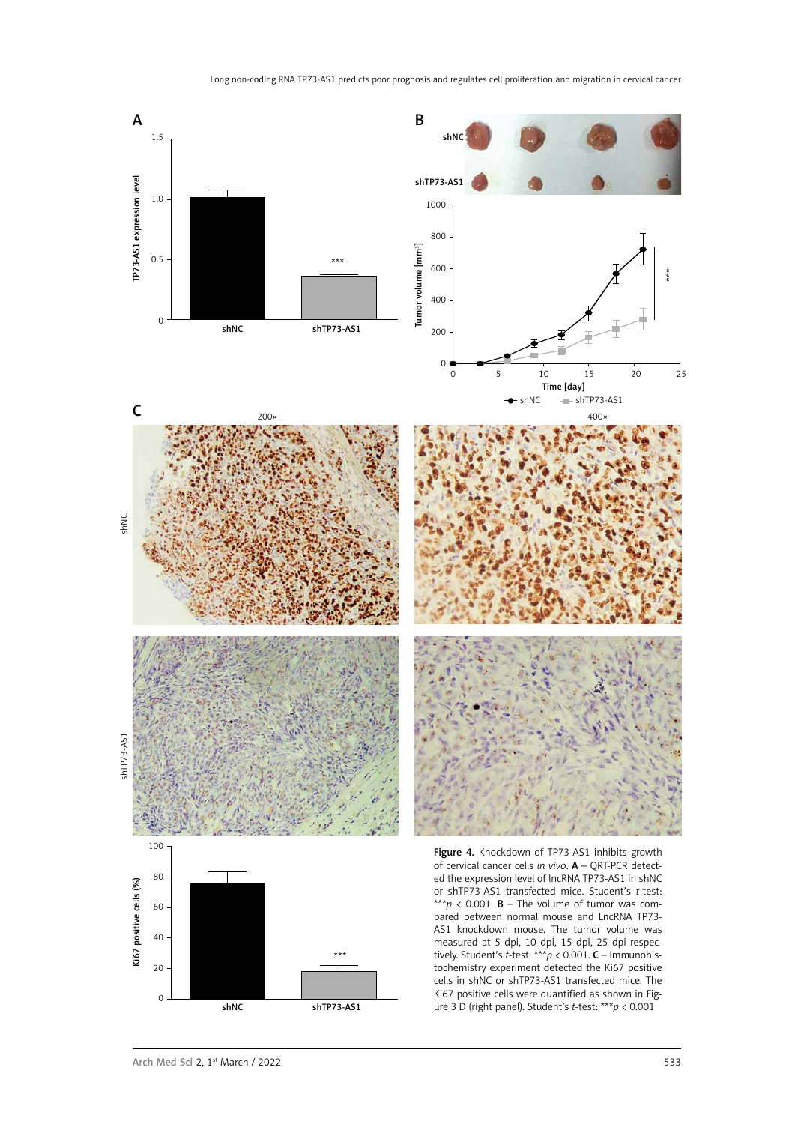